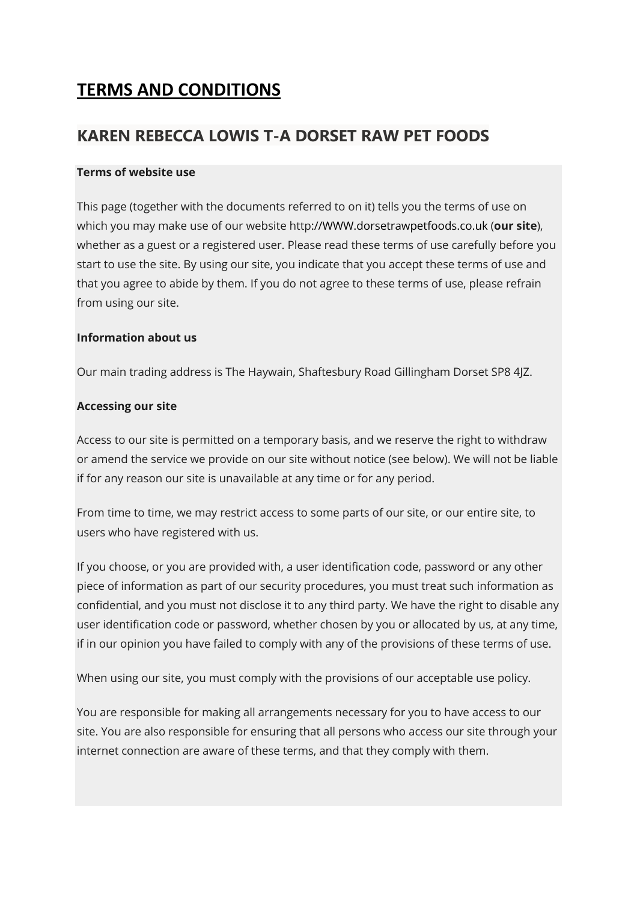# **TERMS AND CONDITIONS**

# **KAREN REBECCA LOWIS T-A DORSET RAW PET FOODS**

### **Terms of website use**

This page (together with the documents referred to on it) tells you the terms of use on which you may make use of our website http://WWW.dorsetrawpetfoods.co.uk (**our site**), whether as a guest or a registered user. Please read these terms of use carefully before you start to use the site. By using our site, you indicate that you accept these terms of use and that you agree to abide by them. If you do not agree to these terms of use, please refrain from using our site.

### **Information about us**

Our main trading address is The Haywain, Shaftesbury Road Gillingham Dorset SP8 4JZ.

## **Accessing our site**

Access to our site is permitted on a temporary basis, and we reserve the right to withdraw or amend the service we provide on our site without notice (see below). We will not be liable if for any reason our site is unavailable at any time or for any period.

From time to time, we may restrict access to some parts of our site, or our entire site, to users who have registered with us.

If you choose, or you are provided with, a user identification code, password or any other piece of information as part of our security procedures, you must treat such information as confidential, and you must not disclose it to any third party. We have the right to disable any user identification code or password, whether chosen by you or allocated by us, at any time, if in our opinion you have failed to comply with any of the provisions of these terms of use.

When using our site, you must comply with the provisions of our acceptable use policy.

You are responsible for making all arrangements necessary for you to have access to our site. You are also responsible for ensuring that all persons who access our site through your internet connection are aware of these terms, and that they comply with them.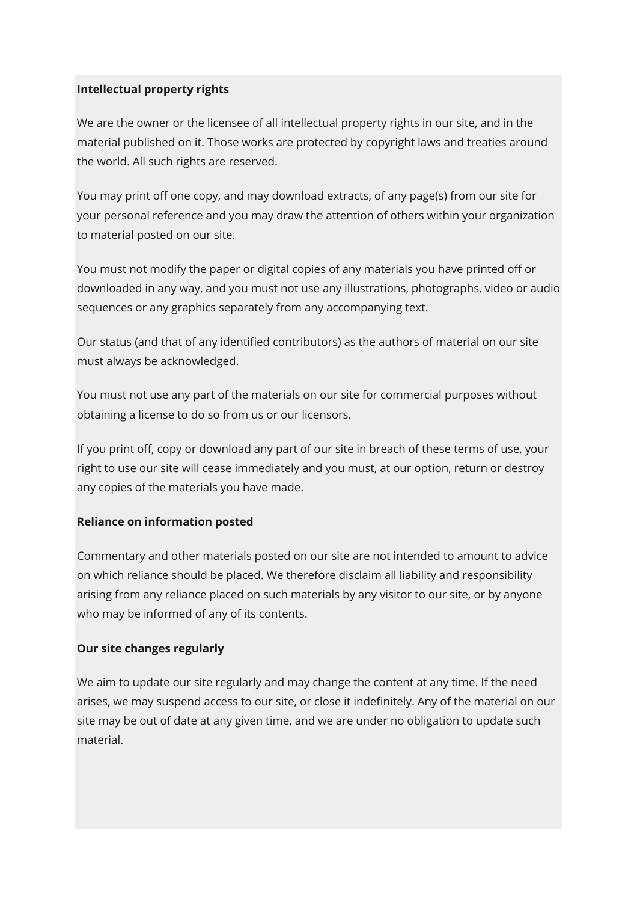## **Intellectual property rights**

We are the owner or the licensee of all intellectual property rights in our site, and in the material published on it. Those works are protected by copyright laws and treaties around the world. All such rights are reserved.

You may print off one copy, and may download extracts, of any page(s) from our site for your personal reference and you may draw the attention of others within your organization to material posted on our site.

You must not modify the paper or digital copies of any materials you have printed off or downloaded in any way, and you must not use any illustrations, photographs, video or audio sequences or any graphics separately from any accompanying text.

Our status (and that of any identified contributors) as the authors of material on our site must always be acknowledged.

You must not use any part of the materials on our site for commercial purposes without obtaining a license to do so from us or our licensors.

If you print off, copy or download any part of our site in breach of these terms of use, your right to use our site will cease immediately and you must, at our option, return or destroy any copies of the materials you have made.

# **Reliance on information posted**

Commentary and other materials posted on our site are not intended to amount to advice on which reliance should be placed. We therefore disclaim all liability and responsibility arising from any reliance placed on such materials by any visitor to our site, or by anyone who may be informed of any of its contents.

## **Our site changes regularly**

We aim to update our site regularly and may change the content at any time. If the need arises, we may suspend access to our site, or close it indefinitely. Any of the material on our site may be out of date at any given time, and we are under no obligation to update such material.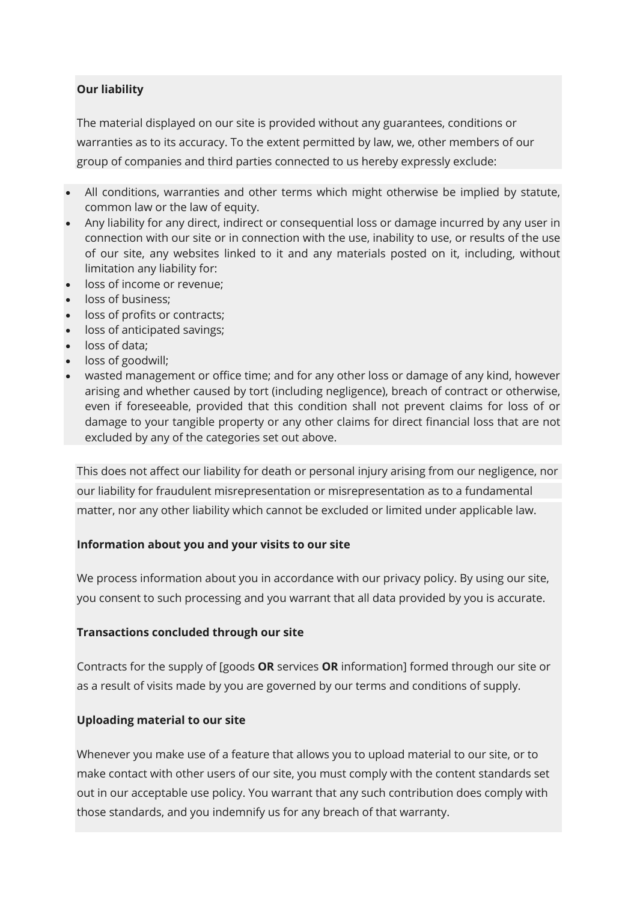# **Our liability**

The material displayed on our site is provided without any guarantees, conditions or warranties as to its accuracy. To the extent permitted by law, we, other members of our group of companies and third parties connected to us hereby expressly exclude:

- All conditions, warranties and other terms which might otherwise be implied by statute, common law or the law of equity.
- Any liability for any direct, indirect or consequential loss or damage incurred by any user in connection with our site or in connection with the use, inability to use, or results of the use of our site, any websites linked to it and any materials posted on it, including, without limitation any liability for:
- loss of income or revenue;
- loss of business;
- loss of profits or contracts;
- **loss of anticipated savings;**
- loss of data;
- loss of goodwill;
- wasted management or office time; and for any other loss or damage of any kind, however arising and whether caused by tort (including negligence), breach of contract or otherwise, even if foreseeable, provided that this condition shall not prevent claims for loss of or damage to your tangible property or any other claims for direct financial loss that are not excluded by any of the categories set out above.

This does not affect our liability for death or personal injury arising from our negligence, nor our liability for fraudulent misrepresentation or misrepresentation as to a fundamental matter, nor any other liability which cannot be excluded or limited under applicable law.

## **Information about you and your visits to our site**

We process information about you in accordance with our privacy policy. By using our site, you consent to such processing and you warrant that all data provided by you is accurate.

### **Transactions concluded through our site**

Contracts for the supply of [goods **OR** services **OR** information] formed through our site or as a result of visits made by you are governed by our terms and conditions of supply.

## **Uploading material to our site**

Whenever you make use of a feature that allows you to upload material to our site, or to make contact with other users of our site, you must comply with the content standards set out in our acceptable use policy. You warrant that any such contribution does comply with those standards, and you indemnify us for any breach of that warranty.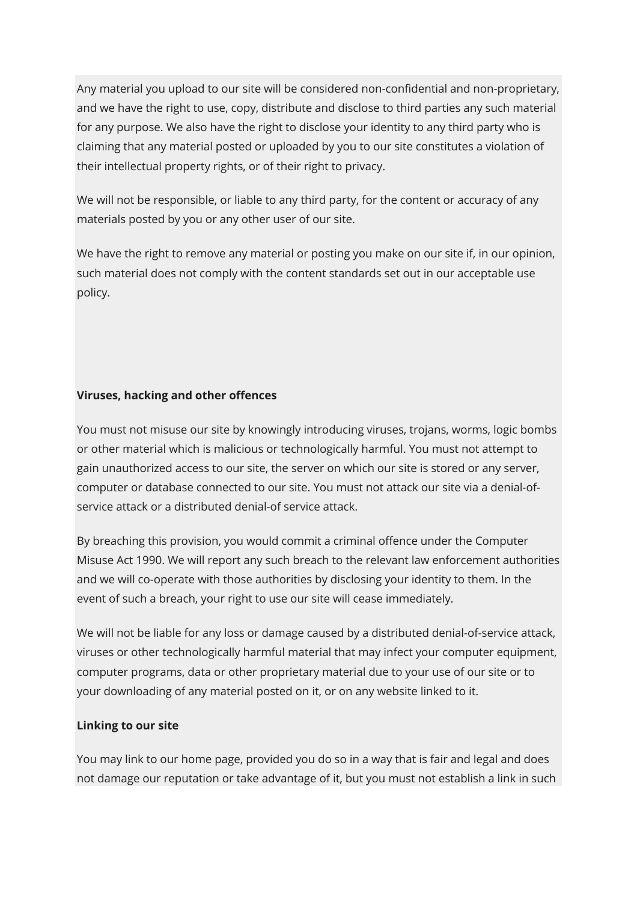Any material you upload to our site will be considered non-confidential and non-proprietary, and we have the right to use, copy, distribute and disclose to third parties any such material for any purpose. We also have the right to disclose your identity to any third party who is claiming that any material posted or uploaded by you to our site constitutes a violation of their intellectual property rights, or of their right to privacy.

We will not be responsible, or liable to any third party, for the content or accuracy of any materials posted by you or any other user of our site.

We have the right to remove any material or posting you make on our site if, in our opinion, such material does not comply with the content standards set out in our acceptable use policy.

# **Viruses, hacking and other offences**

You must not misuse our site by knowingly introducing viruses, trojans, worms, logic bombs or other material which is malicious or technologically harmful. You must not attempt to gain unauthorized access to our site, the server on which our site is stored or any server, computer or database connected to our site. You must not attack our site via a denial-ofservice attack or a distributed denial-of service attack.

By breaching this provision, you would commit a criminal offence under the Computer Misuse Act 1990. We will report any such breach to the relevant law enforcement authorities and we will co-operate with those authorities by disclosing your identity to them. In the event of such a breach, your right to use our site will cease immediately.

We will not be liable for any loss or damage caused by a distributed denial-of-service attack, viruses or other technologically harmful material that may infect your computer equipment, computer programs, data or other proprietary material due to your use of our site or to your downloading of any material posted on it, or on any website linked to it.

## **Linking to our site**

You may link to our home page, provided you do so in a way that is fair and legal and does not damage our reputation or take advantage of it, but you must not establish a link in such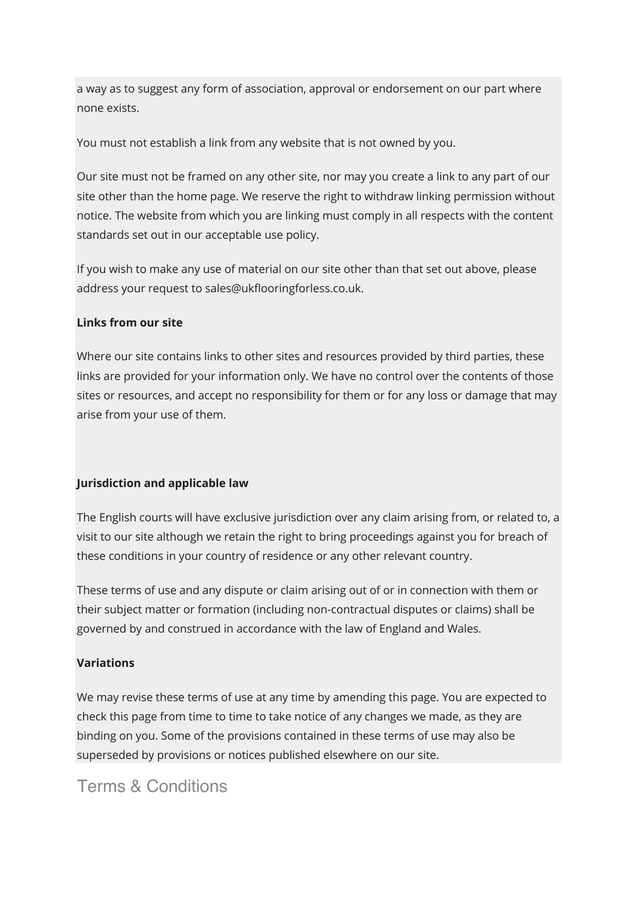a way as to suggest any form of association, approval or endorsement on our part where none exists.

You must not establish a link from any website that is not owned by you.

Our site must not be framed on any other site, nor may you create a link to any part of our site other than the home page. We reserve the right to withdraw linking permission without notice. The website from which you are linking must comply in all respects with the content standards set out in our acceptable use policy.

If you wish to make any use of material on our site other than that set out above, please address your request to sales@ukflooringforless.co.uk.

# **Links from our site**

Where our site contains links to other sites and resources provided by third parties, these links are provided for your information only. We have no control over the contents of those sites or resources, and accept no responsibility for them or for any loss or damage that may arise from your use of them.

# **Jurisdiction and applicable law**

The English courts will have exclusive jurisdiction over any claim arising from, or related to, a visit to our site although we retain the right to bring proceedings against you for breach of these conditions in your country of residence or any other relevant country.

These terms of use and any dispute or claim arising out of or in connection with them or their subject matter or formation (including non-contractual disputes or claims) shall be governed by and construed in accordance with the law of England and Wales.

# **Variations**

We may revise these terms of use at any time by amending this page. You are expected to check this page from time to time to take notice of any changes we made, as they are binding on you. Some of the provisions contained in these terms of use may also be superseded by provisions or notices published elsewhere on our site.

# Terms & Conditions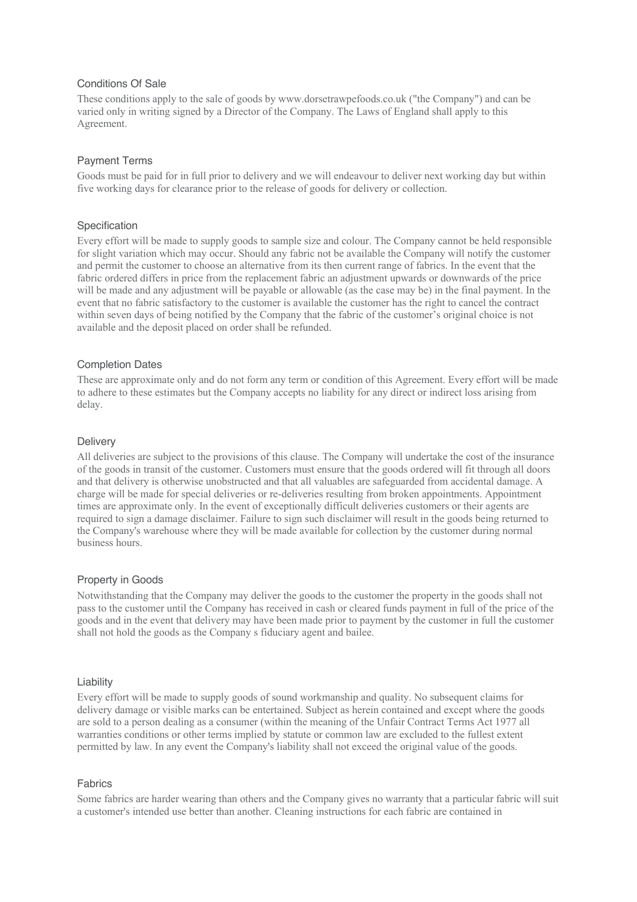### Conditions Of Sale

These conditions apply to the sale of goods by www.dorsetrawpefoods.co.uk ("the Company") and can be varied only in writing signed by a Director of the Company. The Laws of England shall apply to this Agreement.

### Payment Terms

Goods must be paid for in full prior to delivery and we will endeavour to deliver next working day but within five working days for clearance prior to the release of goods for delivery or collection.

#### Specification

Every effort will be made to supply goods to sample size and colour. The Company cannot be held responsible for slight variation which may occur. Should any fabric not be available the Company will notify the customer and permit the customer to choose an alternative from its then current range of fabrics. In the event that the fabric ordered differs in price from the replacement fabric an adjustment upwards or downwards of the price will be made and any adjustment will be payable or allowable (as the case may be) in the final payment. In the event that no fabric satisfactory to the customer is available the customer has the right to cancel the contract within seven days of being notified by the Company that the fabric of the customer's original choice is not available and the deposit placed on order shall be refunded.

#### Completion Dates

These are approximate only and do not form any term or condition of this Agreement. Every effort will be made to adhere to these estimates but the Company accepts no liability for any direct or indirect loss arising from delay.

#### **Delivery**

All deliveries are subject to the provisions of this clause. The Company will undertake the cost of the insurance of the goods in transit of the customer. Customers must ensure that the goods ordered will fit through all doors and that delivery is otherwise unobstructed and that all valuables are safeguarded from accidental damage. A charge will be made for special deliveries or re-deliveries resulting from broken appointments. Appointment times are approximate only. In the event of exceptionally difficult deliveries customers or their agents are required to sign a damage disclaimer. Failure to sign such disclaimer will result in the goods being returned to the Company's warehouse where they will be made available for collection by the customer during normal business hours.

#### Property in Goods

Notwithstanding that the Company may deliver the goods to the customer the property in the goods shall not pass to the customer until the Company has received in cash or cleared funds payment in full of the price of the goods and in the event that delivery may have been made prior to payment by the customer in full the customer shall not hold the goods as the Company s fiduciary agent and bailee.

#### Liability

Every effort will be made to supply goods of sound workmanship and quality. No subsequent claims for delivery damage or visible marks can be entertained. Subject as herein contained and except where the goods are sold to a person dealing as a consumer (within the meaning of the Unfair Contract Terms Act 1977 all warranties conditions or other terms implied by statute or common law are excluded to the fullest extent permitted by law. In any event the Company's liability shall not exceed the original value of the goods.

#### Fabrics

Some fabrics are harder wearing than others and the Company gives no warranty that a particular fabric will suit a customer's intended use better than another. Cleaning instructions for each fabric are contained in